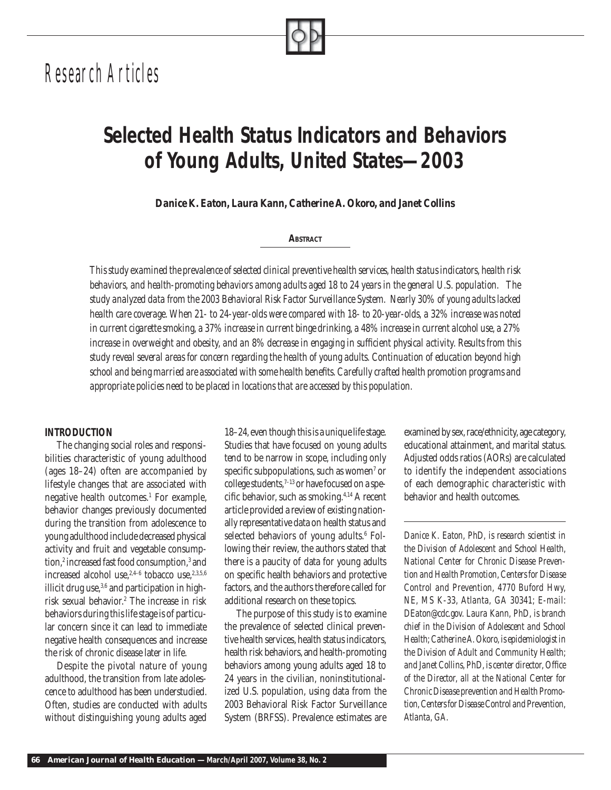# *Research Articles*

# *Selected Health Status Indicators and Behaviors of Young Adults, United States—2003*

*Danice K. Eaton, Laura Kann, Catherine A. Okoro, and Janet Collins*

## **ABSTRACT**

*This study examined the prevalence of selected clinical preventive health services, health status indicators, health risk behaviors, and health-promoting behaviors among adults aged 18 to 24 years in the general U.S. population. The study analyzed data from the 2003 Behavioral Risk Factor Surveillance System. Nearly 30% of young adults lacked health care coverage. When 21- to 24-year-olds were compared with 18- to 20-year-olds, a 32% increase was noted in current cigarette smoking, a 37% increase in current binge drinking, a 48% increase in current alcohol use, a 27% increase in overweight and obesity, and an 8% decrease in engaging in sufficient physical activity. Results from this study reveal several areas for concern regarding the health of young adults. Continuation of education beyond high school and being married are associated with some health benefi ts. Carefully crafted health promotion programs and appropriate policies need to be placed in locations that are accessed by this population.*

## *INTRODUCTION*

The changing social roles and responsibilities characteristic of young adulthood (ages 18–24) often are accompanied by lifestyle changes that are associated with negative health outcomes.1 For example, behavior changes previously documented during the transition from adolescence to young adulthood include decreased physical activity and fruit and vegetable consumption,<sup>2</sup> increased fast food consumption,<sup>3</sup> and increased alcohol use, $2,4-6$  tobacco use, $2,3,5,6$ illicit drug use,  $3,6$  and participation in highrisk sexual behavior.2 The increase in risk behaviors during this life stage is of particular concern since it can lead to immediate negative health consequences and increase the risk of chronic disease later in life.

Despite the pivotal nature of young adulthood, the transition from late adolescence to adulthood has been understudied. Often, studies are conducted with adults without distinguishing young adults aged

18–24, even though this is a unique life stage. Studies that have focused on young adults tend to be narrow in scope, including only specific subpopulations, such as women $^7$  or college students, $7-13$  or have focused on a specific behavior, such as smoking. $4,14$  A recent article provided a review of existing nationally representative data on health status and selected behaviors of young adults.<sup>6</sup> Following their review, the authors stated that there is a paucity of data for young adults on specific health behaviors and protective factors, and the authors therefore called for additional research on these topics.

The purpose of this study is to examine the prevalence of selected clinical preventive health services, health status indicators, health risk behaviors, and health-promoting behaviors among young adults aged 18 to 24 years in the civilian, noninstitutionalized U.S. population, using data from the 2003 Behavioral Risk Factor Surveillance System (BRFSS). Prevalence estimates are

examined by sex, race/ethnicity, age category, educational attainment, and marital status. Adjusted odds ratios (AORs) are calculated to identify the independent associations of each demographic characteristic with behavior and health outcomes.

*Danice K. Eaton, PhD, is research scientist in the Division of Adolescent and School Health, National Center for Chronic Disease Prevention and Health Promotion, Centers for Disease Control and Prevention, 4770 Buford Hwy, NE, MS K-33, Atlanta, GA 30341; E-mail: DEaton@cdc.gov. Laura Kann, PhD, is branch chief in the Division of Adolescent and School Health; Catherine A. Okoro, is epidemiologist in the Division of Adult and Community Health;*  and Janet Collins, PhD, is center director, Office *of the Director, all at the National Center for Chronic Disease prevention and Health Promotion, Centers for Disease Control and Prevention, Atlanta, GA.*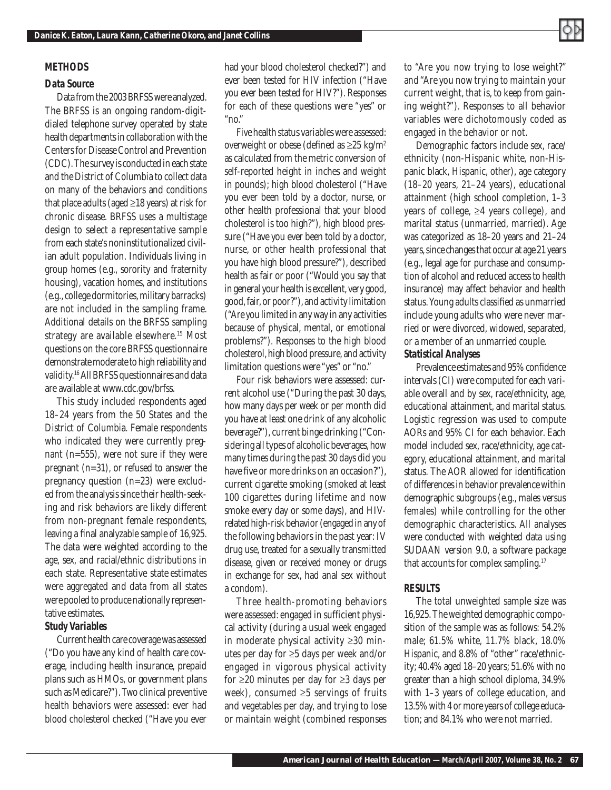# *METHODS*

### *Data Source*

Data from the 2003 BRFSS were analyzed. The BRFSS is an ongoing random-digitdialed telephone survey operated by state health departments in collaboration with the Centers for Disease Control and Prevention (CDC). The survey is conducted in each state and the District of Columbia to collect data on many of the behaviors and conditions that place adults (aged  $\geq$ 18 years) at risk for chronic disease. BRFSS uses a multistage design to select a representative sample from each state's noninstitutionalized civilian adult population. Individuals living in group homes (e.g., sorority and fraternity housing), vacation homes, and institutions (e.g., college dormitories, military barracks) are not included in the sampling frame. Additional details on the BRFSS sampling strategy are available elsewhere.<sup>15</sup> Most questions on the core BRFSS questionnaire demonstrate moderate to high reliability and validity.16 All BRFSS questionnaires and data are available at www.cdc.gov/brfss.

This study included respondents aged 18–24 years from the 50 States and the District of Columbia. Female respondents who indicated they were currently pregnant (n=555), were not sure if they were pregnant (n=31), or refused to answer the pregnancy question (n=23) were excluded from the analysis since their health-seeking and risk behaviors are likely different from non-pregnant female respondents, leaving a final analyzable sample of 16,925. The data were weighted according to the age, sex, and racial/ethnic distributions in each state. Representative state estimates were aggregated and data from all states were pooled to produce nationally representative estimates.

## *Study Variables*

Current health care coverage was assessed ("Do you have any kind of health care coverage, including health insurance, prepaid plans such as HMOs, or government plans such as Medicare?"). Two clinical preventive health behaviors were assessed: ever had blood cholesterol checked ("Have you ever had your blood cholesterol checked?") and ever been tested for HIV infection ("Have you ever been tested for HIV?"). Responses for each of these questions were "yes" or " $no$ "

Five health status variables were assessed: overweight or obese (defined as  $\geq 25$  kg/m<sup>2</sup> as calculated from the metric conversion of self-reported height in inches and weight in pounds); high blood cholesterol ("Have you ever been told by a doctor, nurse, or other health professional that your blood cholesterol is too high?"), high blood pressure ("Have you ever been told by a doctor, nurse, or other health professional that you have high blood pressure?"), described health as fair or poor ("Would you say that in general your health is excellent, very good, good, fair, or poor?"), and activity limitation ("Are you limited in any way in any activities because of physical, mental, or emotional problems?"). Responses to the high blood cholesterol, high blood pressure, and activity limitation questions were "yes" or "no."

Four risk behaviors were assessed: current alcohol use ("During the past 30 days, how many days per week or per month did you have at least one drink of any alcoholic beverage?"), current binge drinking ("Considering all types of alcoholic beverages, how many times during the past 30 days did you have five or more drinks on an occasion?"), current cigarette smoking (smoked at least 100 cigarettes during lifetime and now smoke every day or some days), and HIVrelated high-risk behavior (engaged in any of the following behaviors in the past year: IV drug use, treated for a sexually transmitted disease, given or received money or drugs in exchange for sex, had anal sex without a condom).

Three health-promoting behaviors were assessed: engaged in sufficient physical activity (during a usual week engaged in moderate physical activity ≥30 minutes per day for ≥5 days per week and/or engaged in vigorous physical activity for ≥20 minutes per day for ≥3 days per week), consumed ≥5 servings of fruits and vegetables per day, and trying to lose or maintain weight (combined responses

to "Are you now trying to lose weight?" and "Are you now trying to maintain your current weight, that is, to keep from gaining weight?"). Responses to all behavior variables were dichotomously coded as engaged in the behavior or not.

Demographic factors include sex, race/ ethnicity (non-Hispanic white, non-Hispanic black, Hispanic, other), age category (18–20 years, 21–24 years), educational attainment (high school completion, 1–3 years of college, ≥4 years college), and marital status (unmarried, married). Age was categorized as 18–20 years and 21–24 years, since changes that occur at age 21 years (e.g., legal age for purchase and consumption of alcohol and reduced access to health insurance) may affect behavior and health status. Young adults classified as unmarried include young adults who were never married or were divorced, widowed, separated, or a member of an unmarried couple.

# *Statistical Analyses*

Prevalence estimates and 95% confidence intervals (CI) were computed for each variable overall and by sex, race/ethnicity, age, educational attainment, and marital status. Logistic regression was used to compute AORs and 95% CI for each behavior. Each model included sex, race/ethnicity, age category, educational attainment, and marital status. The AOR allowed for identification of differences in behavior prevalence within demographic subgroups (e.g., males versus females) while controlling for the other demographic characteristics. All analyses were conducted with weighted data using SUDAAN version 9.0, a software package that accounts for complex sampling.<sup>17</sup>

## *RESULTS*

The total unweighted sample size was 16,925. The weighted demographic composition of the sample was as follows: 54.2% male; 61.5% white, 11.7% black, 18.0% Hispanic, and 8.8% of "other" race/ethnicity; 40.4% aged 18–20 years; 51.6% with no greater than a high school diploma, 34.9% with 1–3 years of college education, and 13.5% with 4 or more years of college education; and 84.1% who were not married.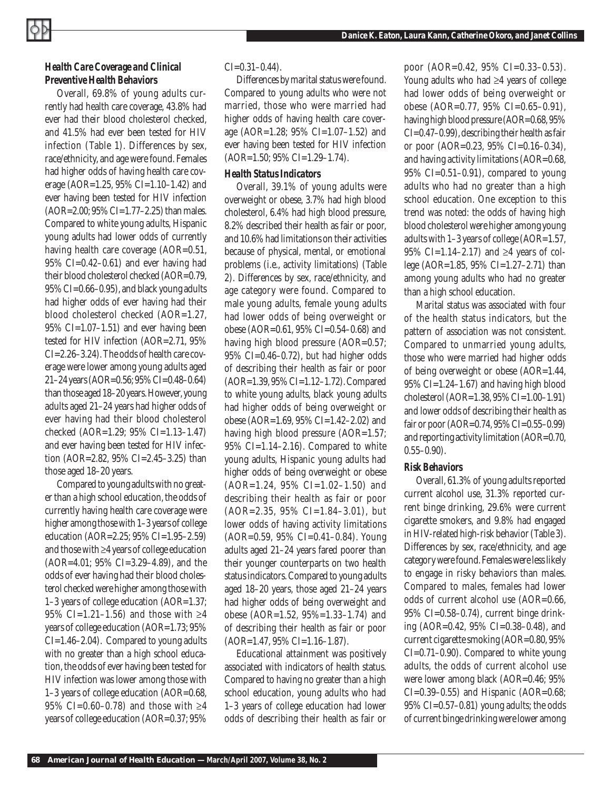# *Health Care Coverage and Clinical Preventive Health Behaviors*

Overall, 69.8% of young adults currently had health care coverage, 43.8% had ever had their blood cholesterol checked, and 41.5% had ever been tested for HIV infection (Table 1). Differences by sex, race/ethnicity, and age were found. Females had higher odds of having health care coverage (AOR=1.25, 95% CI=1.10–1.42) and ever having been tested for HIV infection  $(AOR=2.00; 95\% CI=1.77-2.25)$  than males. Compared to white young adults, Hispanic young adults had lower odds of currently having health care coverage (AOR=0.51, 95% CI=0.42–0.61) and ever having had their blood cholesterol checked (AOR=0.79, 95% CI=0.66–0.95), and black young adults had higher odds of ever having had their blood cholesterol checked (AOR=1.27, 95% CI=1.07–1.51) and ever having been tested for HIV infection (AOR=2.71, 95% CI=2.26–3.24). The odds of health care coverage were lower among young adults aged 21–24 years (AOR=0.56; 95% CI=0.48–0.64) than those aged 18–20 years. However, young adults aged 21–24 years had higher odds of ever having had their blood cholesterol checked (AOR=1.29; 95% CI=1.13–1.47) and ever having been tested for HIV infection (AOR=2.82, 95% CI=2.45–3.25) than those aged 18–20 years.

Compared to young adults with no greater than a high school education, the odds of currently having health care coverage were higher among those with 1–3 years of college education (AOR=2.25; 95% CI=1.95–2.59) and those with ≥4 years of college education (AOR=4.01; 95% CI=3.29–4.89), and the odds of ever having had their blood cholesterol checked were higher among those with 1–3 years of college education (AOR=1.37; 95% CI=1.21-1.56) and those with ≥4 years of college education (AOR=1.73; 95% CI=1.46–2.04). Compared to young adults with no greater than a high school education, the odds of ever having been tested for HIV infection was lower among those with 1–3 years of college education (AOR=0.68, 95% CI=0.60–0.78) and those with ≥4 years of college education (AOR=0.37; 95%

#### $CI = 0.31 - 0.44$ .

Differences by marital status were found. Compared to young adults who were not married, those who were married had higher odds of having health care coverage (AOR=1.28; 95% CI=1.07–1.52) and ever having been tested for HIV infection (AOR=1.50; 95% CI=1.29–1.74).

#### *Health Status Indicators*

Overall, 39.1% of young adults were overweight or obese, 3.7% had high blood cholesterol, 6.4% had high blood pressure, 8.2% described their health as fair or poor, and 10.6% had limitations on their activities because of physical, mental, or emotional problems (i.e., activity limitations) (Table 2). Differences by sex, race/ethnicity, and age category were found. Compared to male young adults, female young adults had lower odds of being overweight or obese (AOR=0.61, 95% CI=0.54–0.68) and having high blood pressure (AOR=0.57; 95% CI=0.46–0.72), but had higher odds of describing their health as fair or poor (AOR=1.39, 95% CI=1.12–1.72). Compared to white young adults, black young adults had higher odds of being overweight or obese (AOR=1.69, 95% CI=1.42–2.02) and having high blood pressure (AOR=1.57;  $95\%$  CI=1.14–2.16). Compared to white young adults, Hispanic young adults had higher odds of being overweight or obese (AOR=1.24, 95% CI=1.02–1.50) and describing their health as fair or poor  $(AOR=2.35, 95\% \text{ CI}=1.84-3.01), \text{ but}$ lower odds of having activity limitations (AOR=0.59, 95% CI=0.41–0.84). Young adults aged 21–24 years fared poorer than their younger counterparts on two health status indicators. Compared to young adults aged 18–20 years, those aged 21–24 years had higher odds of being overweight and obese (AOR=1.52, 95%=1.33–1.74) and of describing their health as fair or poor (AOR=1.47, 95% CI=1.16–1.87).

Educational attainment was positively associated with indicators of health status. Compared to having no greater than a high school education, young adults who had 1–3 years of college education had lower odds of describing their health as fair or

poor (AOR=0.42, 95% CI=0.33-0.53). Young adults who had ≥4 years of college had lower odds of being overweight or obese (AOR=0.77, 95% CI=0.65–0.91), having high blood pressure (AOR=0.68, 95% CI=0.47–0.99), describing their health as fair or poor (AOR=0.23, 95% CI=0.16–0.34), and having activity limitations (AOR=0.68, 95% CI=0.51–0.91), compared to young adults who had no greater than a high school education. One exception to this trend was noted: the odds of having high blood cholesterol were higher among young adults with 1–3 years of college (AOR=1.57, 95% CI=1.14–2.17) and ≥4 years of college (AOR=1.85, 95% CI=1.27–2.71) than among young adults who had no greater than a high school education.

Marital status was associated with four of the health status indicators, but the pattern of association was not consistent. Compared to unmarried young adults, those who were married had higher odds of being overweight or obese (AOR=1.44, 95% CI=1.24–1.67) and having high blood cholesterol (AOR=1.38, 95% CI=1.00–1.91) and lower odds of describing their health as fair or poor (AOR=0.74, 95% CI=0.55–0.99) and reporting activity limitation (AOR=0.70,  $0.55-0.90$ ).

## *Risk Behaviors*

Overall, 61.3% of young adults reported current alcohol use, 31.3% reported current binge drinking, 29.6% were current cigarette smokers, and 9.8% had engaged in HIV-related high-risk behavior (Table 3). Differences by sex, race/ethnicity, and age category were found. Females were less likely to engage in risky behaviors than males. Compared to males, females had lower odds of current alcohol use (AOR=0.66, 95% CI=0.58–0.74), current binge drinking (AOR=0.42, 95% CI=0.38–0.48), and current cigarette smoking (AOR=0.80, 95% CI=0.71–0.90). Compared to white young adults, the odds of current alcohol use were lower among black (AOR=0.46; 95% CI=0.39–0.55) and Hispanic (AOR=0.68; 95% CI=0.57–0.81) young adults; the odds of current binge drinking were lower among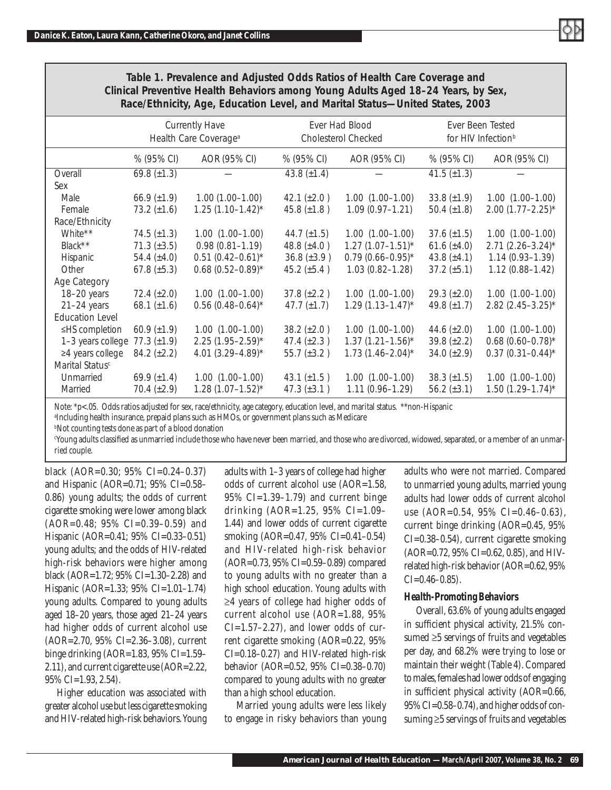

| Race/Ethnicity, Age, Education Level, and Marital Status—United States, 2003 |                                                            |                         |                                              |                         |                    |                                                    |  |
|------------------------------------------------------------------------------|------------------------------------------------------------|-------------------------|----------------------------------------------|-------------------------|--------------------|----------------------------------------------------|--|
|                                                                              | <b>Currently Have</b><br>Health Care Coverage <sup>a</sup> |                         | Ever Had Blood<br><b>Cholesterol Checked</b> |                         |                    | Ever Been Tested<br>for HIV Infection <sup>b</sup> |  |
|                                                                              | % (95% CI)                                                 | AOR (95% CI)            | % (95% CI)                                   | AOR (95% CI)            | % (95% CI)         | AOR (95% CI)                                       |  |
| Overall                                                                      | 69.8 $(\pm 1.3)$                                           |                         | 43.8 $(\pm 1.4)$                             |                         | 41.5 $(\pm 1.3)$   |                                                    |  |
| Sex                                                                          |                                                            |                         |                                              |                         |                    |                                                    |  |
| Male                                                                         | 66.9 $(\pm 1.9)$                                           | $1.00(1.00-1.00)$       | 42.1 $(\pm 2.0)$                             | $1.00(1.00-1.00)$       | 33.8 $(\pm 1.9)$   | $1.00(1.00-1.00)$                                  |  |
| Female                                                                       | 73.2 $(\pm 1.6)$                                           | $1.25(1.10-1.42)^{*}$   | 45.8 $(\pm 1.8)$                             | $1.09(0.97 - 1.21)$     | 50.4 $(\pm 1.8)$   | $2.00(1.77 - 2.25)^*$                              |  |
| Race/Ethnicity                                                               |                                                            |                         |                                              |                         |                    |                                                    |  |
| White**                                                                      | 74.5 $(\pm 1.3)$                                           | $1.00(1.00-1.00)$       | 44.7 $(\pm 1.5)$                             | $1.00(1.00-1.00)$       | $37.6 \ (\pm 1.5)$ | $1.00(1.00-1.00)$                                  |  |
| Black**                                                                      | $71.3 (\pm 3.5)$                                           | $0.98(0.81 - 1.19)$     | 48.8 $(\pm 4.0)$                             | $1.27(1.07 - 1.51)^{*}$ | 61.6 $(\pm 4.0)$   | $2.71(2.26 - 3.24)^{*}$                            |  |
| Hispanic                                                                     | 54.4 $(\pm 4.0)$                                           | $0.51(0.42 - 0.61)^{*}$ | $36.8 (\pm 3.9)$                             | $0.79(0.66 - 0.95)^*$   | 43.8 $(\pm 4.1)$   | $1.14(0.93 - 1.39)$                                |  |
| Other                                                                        | 67.8 $(\pm 5.3)$                                           | $0.68(0.52 - 0.89)^{*}$ | $45.2 \ (\pm 5.4)$                           | $1.03(0.82 - 1.28)$     | $37.2 \ (\pm 5.1)$ | $1.12(0.88 - 1.42)$                                |  |
| Age Category                                                                 |                                                            |                         |                                              |                         |                    |                                                    |  |
| 18-20 years                                                                  | 72.4 $(\pm 2.0)$                                           | $1.00(1.00-1.00)$       | $37.8 (\pm 2.2)$                             | $1.00(1.00-1.00)$       | $29.3 (\pm 2.0)$   | $1.00(1.00-1.00)$                                  |  |
| $21-24$ years                                                                | 68.1 $(\pm 1.6)$                                           | $0.56$ (0.48-0.64)*     | 47.7 $(\pm 1.7)$                             | $1.29(1.13 - 1.47)^{*}$ | 49.8 $(\pm 1.7)$   | $2.82$ (2.45-3.25)*                                |  |
| <b>Education Level</b>                                                       |                                                            |                         |                                              |                         |                    |                                                    |  |
| ≤HS completion                                                               | 60.9 $(\pm 1.9)$                                           | $1.00(1.00-1.00)$       | $38.2 (\pm 2.0)$                             | $1.00(1.00-1.00)$       | 44.6 $(\pm 2.0)$   | $1.00$ $(1.00-1.00)$                               |  |
| 1-3 years college                                                            | 77.3 $(\pm 1.9)$                                           | $2.25(1.95 - 2.59)^{*}$ | 47.4 $(\pm 2.3)$                             | $1.37(1.21 - 1.56)^{*}$ | 39.8 $(\pm 2.2)$   | $0.68(0.60 - 0.78)^*$                              |  |
| ≥4 years college                                                             | $84.2 (\pm 2.2)$                                           | 4.01 $(3.29 - 4.89)^*$  | 55.7 $(\pm 3.2)$                             | $1.73(1.46 - 2.04)^{*}$ | 34.0 $(\pm 2.9)$   | $0.37(0.31 - 0.44)^{*}$                            |  |
| Marital Status <sup>c</sup>                                                  |                                                            |                         |                                              |                         |                    |                                                    |  |
| Unmarried                                                                    | 69.9 $(\pm 1.4)$                                           | $1.00(1.00-1.00)$       | 43.1 $(\pm 1.5)$                             | $1.00(1.00-1.00)$       | $38.3 \ (\pm 1.5)$ | $1.00(1.00-1.00)$                                  |  |
| Married                                                                      | 70.4 $(\pm 2.9)$                                           | $1.28(1.07 - 1.52)^{*}$ | 47.3 $(\pm 3.1)$                             | $1.11(0.96 - 1.29)$     | 56.2 $(\pm 3.1)$   | $1.50(1.29 - 1.74)^{*}$                            |  |

*Table 1. Prevalence and Adjusted Odds Ratios of Health Care Coverage and Clinical Preventive Health Behaviors among Young Adults Aged 18–24 Years, by Sex, Race/Ethnicity, Age, Education Level, and Marital Status—United States, 2003*

Note: \*p<.05. Odds ratios adjusted for sex, race/ethnicity, age category, education level, and marital status. \*\*non-Hispanic

a Including health insurance, prepaid plans such as HMOs, or government plans such as Medicare

b Not counting tests done as part of a blood donation

Young adults classified as unmarried include those who have never been married, and those who are divorced, widowed, separated, or a member of an unmarried couple.

black (AOR=0.30; 95% CI=0.24–0.37) and Hispanic (AOR=0.71; 95% CI=0.58– 0.86) young adults; the odds of current cigarette smoking were lower among black (AOR=0.48; 95% CI=0.39–0.59) and Hispanic (AOR=0.41; 95% CI=0.33–0.51) young adults; and the odds of HIV-related high-risk behaviors were higher among black (AOR=1.72; 95% CI=1.30–2.28) and Hispanic (AOR=1.33; 95% CI=1.01–1.74) young adults. Compared to young adults aged 18–20 years, those aged 21–24 years had higher odds of current alcohol use (AOR=2.70, 95% CI=2.36–3.08), current binge drinking  $(AOR=1.83, 95\% \text{ CI}=1.59-$ 2.11), and current cigarette use (AOR=2.22, 95% CI=1.93, 2.54).

Higher education was associated with greater alcohol use but less cigarette smoking and HIV-related high-risk behaviors. Young adults with 1–3 years of college had higher odds of current alcohol use (AOR=1.58, 95% CI=1.39–1.79) and current binge drinking (AOR=1.25, 95% CI=1.09– 1.44) and lower odds of current cigarette smoking (AOR=0.47, 95% CI=0.41–0.54) and HIV-related high-risk behavior (AOR=0.73, 95% CI=0.59–0.89) compared to young adults with no greater than a high school education. Young adults with ≥4 years of college had higher odds of current alcohol use (AOR=1.88, 95%  $CI=1.57-2.27$ , and lower odds of current cigarette smoking (AOR=0.22, 95% CI=0.18–0.27) and HIV-related high-risk behavior (AOR=0.52, 95% CI=0.38–0.70) compared to young adults with no greater than a high school education.

Married young adults were less likely to engage in risky behaviors than young adults who were not married. Compared to unmarried young adults, married young adults had lower odds of current alcohol use (AOR=0.54, 95% CI=0.46-0.63), current binge drinking (AOR=0.45, 95% CI=0.38–0.54), current cigarette smoking (AOR=0.72, 95% CI=0.62, 0.85), and HIVrelated high-risk behavior (AOR=0.62, 95%  $CI = 0.46 - 0.85$ .

## *Health-Promoting Behaviors*

Overall, 63.6% of young adults engaged in sufficient physical activity, 21.5% consumed ≥5 servings of fruits and vegetables per day, and 68.2% were trying to lose or maintain their weight (Table 4). Compared to males, females had lower odds of engaging in sufficient physical activity (AOR=0.66, 95% CI=0.58–0.74), and higher odds of consuming ≥5 servings of fruits and vegetables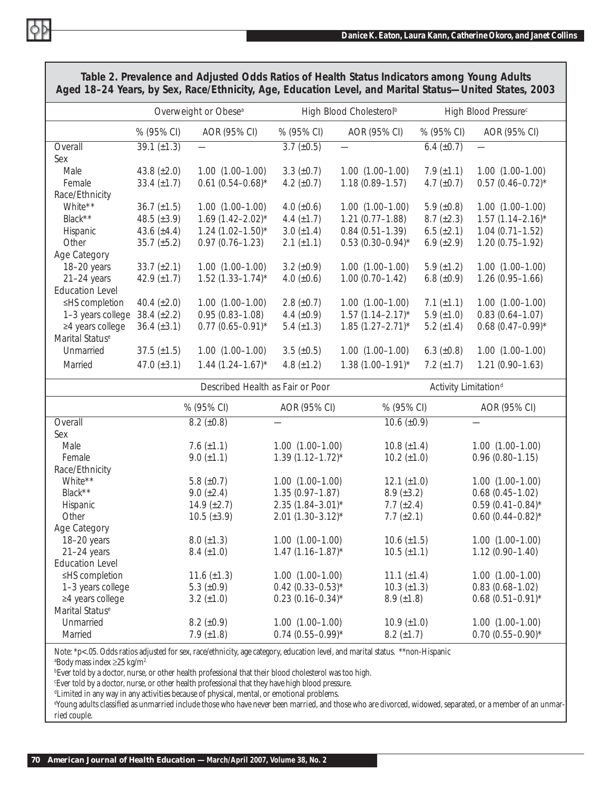|                             |                    | Overweight or Obese <sup>a</sup> | High Blood Cholesterol <sup>b</sup> |                                  |                   | High Blood Pressure <sup>c</sup> |
|-----------------------------|--------------------|----------------------------------|-------------------------------------|----------------------------------|-------------------|----------------------------------|
|                             | % (95% CI)         | AOR (95% CI)                     | % (95% CI)                          | AOR (95% CI)                     | % (95% CI)        | AOR (95% CI)                     |
| Overall                     | 39.1 $(\pm 1.3)$   |                                  | $3.7 \ (\pm 0.5)$                   |                                  | 6.4 $(\pm 0.7)$   |                                  |
| Sex                         |                    |                                  |                                     |                                  |                   |                                  |
| Male                        | 43.8 $(\pm 2.0)$   | $1.00(1.00-1.00)$                | $3.3 \ (\pm 0.7)$                   | $1.00(1.00-1.00)$                | 7.9 $(\pm 1.1)$   | $1.00$ $(1.00-1.00)$             |
| Female                      | 33.4 $(\pm 1.7)$   | $0.61$ (0.54-0.68)*              | 4.2 $(\pm 0.7)$                     | $1.18(0.89 - 1.57)$              | 4.7 $(\pm 0.7)$   | $0.57$ (0.46-0.72) <sup>*</sup>  |
| Race/Ethnicity              |                    |                                  |                                     |                                  |                   |                                  |
| White**                     | $36.7 (\pm 1.5)$   | $1.00(1.00-1.00)$                | 4.0 $(\pm 0.6)$                     | $1.00(1.00-1.00)$                | 5.9 $(\pm 0.8)$   | $1.00(1.00-1.00)$                |
| Black**                     | 48.5 $(\pm 3.9)$   | $1.69(1.42 - 2.02)^{*}$          | 4.4 $(\pm 1.7)$                     | $1.21(0.77 - 1.88)$              | $8.7 (\pm 2.3)$   | $1.57(1.14 - 2.16)^{*}$          |
| Hispanic                    | 43.6 $(\pm 4.4)$   | $1.24$ (1.02-1.50)*              | $3.0 \ (\pm 1.4)$                   | $0.84(0.51 - 1.39)$              | $6.5 \ (\pm 2.1)$ | $1.04(0.71 - 1.52)$              |
| Other                       | $35.7 \ (\pm 5.2)$ | $0.97(0.76 - 1.23)$              | 2.1 $(\pm 1.1)$                     | $0.53$ (0.30-0.94)*              | 6.9 $(\pm 2.9)$   | $1.20(0.75 - 1.92)$              |
| Age Category                |                    |                                  |                                     |                                  |                   |                                  |
| 18-20 years                 | 33.7 $(\pm 2.1)$   | $1.00(1.00-1.00)$                | 3.2 $(\pm 0.9)$                     | $1.00(1.00-1.00)$                | 5.9 $(\pm 1.2)$   | $1.00(1.00-1.00)$                |
| $21-24$ years               | 42.9 $(\pm 1.7)$   | $1.52$ (1.33-1.74)*              | 4.0 $(\pm 0.6)$                     | $1.00(0.70 - 1.42)$              | 6.8 $(\pm 0.9)$   | $1.26(0.95 - 1.66)$              |
| <b>Education Level</b>      |                    |                                  |                                     |                                  |                   |                                  |
| ≤HS completion              | 40.4 $(\pm 2.0)$   | $1.00(1.00-1.00)$                | 2.8 $(\pm 0.7)$                     | $1.00(1.00-1.00)$                | 7.1 $(\pm 1.1)$   | $1.00(1.00-1.00)$                |
| 1-3 years college           | 38.4 $(\pm 2.2)$   | $0.95(0.83 - 1.08)$              | 4.4 $(\pm 0.9)$                     | $1.57(1.14 - 2.17)^{*}$          | 5.9 $(\pm 1.0)$   | $0.83(0.64 - 1.07)$              |
| ≥4 years college            | $36.4 \ (\pm 3.1)$ | $0.77$ (0.65-0.91)*              | 5.4 $(\pm 1.3)$                     | $1.85(1.27 - 2.71)^{*}$          | 5.2 $(\pm 1.4)$   | $0.68(0.47-0.99)$ *              |
| Marital Status <sup>e</sup> |                    |                                  |                                     |                                  |                   |                                  |
| Unmarried                   | $37.5 \ (\pm 1.5)$ | $1.00(1.00-1.00)$                | $3.5 \ (\pm 0.5)$                   | $1.00$ $(1.00-1.00)$             | 6.3 $(\pm 0.8)$   | $1.00$ $(1.00-1.00)$             |
| Married                     | 47.0 $(\pm 3.1)$   | $1.44$ $(1.24 - 1.67)$ *         | 4.8 $(\pm 1.2)$                     | $1.38(1.00 - 1.91)^{*}$          | 7.2 $(\pm 1.7)$   | $1.21(0.90 - 1.63)$              |
|                             |                    | Described Health as Fair or Poor |                                     | Activity Limitation <sup>d</sup> |                   |                                  |
|                             |                    |                                  |                                     |                                  |                   |                                  |

*Table 2. Prevalence and Adjusted Odds Ratios of Health Status Indicators among Young Adults Aged 18–24 Years, by Sex, Race/Ethnicity, Age, Education Level, and Marital Status—United States, 2003*

|                             |                    | Described Health as Fair or Poor | Activity Limitation <sup>®</sup> |                         |  |
|-----------------------------|--------------------|----------------------------------|----------------------------------|-------------------------|--|
|                             | % (95% CI)         | AOR (95% CI)                     | % (95% CI)                       | AOR (95% CI)            |  |
| Overall                     | $8.2 \ (\pm 0.8)$  |                                  | $10.6 \ (\pm 0.9)$               |                         |  |
| Sex                         |                    |                                  |                                  |                         |  |
| Male                        | 7.6 $(\pm 1.1)$    | $1.00(1.00-1.00)$                | $10.8 (\pm 1.4)$                 | $1.00$ $(1.00-1.00)$    |  |
| Female                      | 9.0 $(\pm 1.1)$    | $1.39(1.12 - 1.72)^{*}$          | $10.2 \ (\pm 1.0)$               | $0.96(0.80 - 1.15)$     |  |
| Race/Ethnicity              |                    |                                  |                                  |                         |  |
| White**                     | 5.8 $(\pm 0.7)$    | $1.00(1.00-1.00)$                | $12.1 (\pm 1.0)$                 | $1.00(1.00-1.00)$       |  |
| Black**                     | 9.0 $(\pm 2.4)$    | $1.35(0.97 - 1.87)$              | $8.9 \ (\pm 3.2)$                | $0.68(0.45 - 1.02)$     |  |
| Hispanic                    | 14.9 $(\pm 2.7)$   | $2.35(1.84 - 3.01)^{*}$          | 7.7 $(\pm 2.4)$                  | $0.59(0.41 - 0.84)^{*}$ |  |
| Other                       | $10.5 \ (\pm 3.9)$ | $2.01(1.30-3.12)^{*}$            | 7.7 $(\pm 2.1)$                  | $0.60(0.44 - 0.82)^{*}$ |  |
| Age Category                |                    |                                  |                                  |                         |  |
| 18-20 years                 | $8.0 \ (\pm 1.3)$  | $1.00(1.00-1.00)$                | $10.6 \ (\pm 1.5)$               | $1.00$ $(1.00-1.00)$    |  |
| $21-24$ years               | $8.4~(\pm 1.0)$    | $1.47(1.16 - 1.87)^{*}$          | $10.5 \ (\pm 1.1)$               | $1.12(0.90 - 1.40)$     |  |
| <b>Education Level</b>      |                    |                                  |                                  |                         |  |
| ≤HS completion              | 11.6 $(\pm 1.3)$   | $1.00(1.00-1.00)$                | 11.1 $(\pm 1.4)$                 | $1.00$ $(1.00-1.00)$    |  |
| 1-3 years college           | 5.3 $(\pm 0.9)$    | $0.42$ (0.33-0.53)*              | $10.3 \ (\pm 1.3)$               | $0.83(0.68 - 1.02)$     |  |
| $\geq$ 4 years college      | $3.2 \ (\pm 1.0)$  | $0.23(0.16 - 0.34)^{*}$          | $8.9 \ (\pm 1.8)$                | $0.68(0.51 - 0.91)^{*}$ |  |
| Marital Status <sup>e</sup> |                    |                                  |                                  |                         |  |
| Unmarried                   | $8.2~(\pm 0.9)$    | $1.00(1.00-1.00)$                | $10.9 (\pm 1.0)$                 | $1.00$ $(1.00-1.00)$    |  |
| Married                     | 7.9 $(\pm 1.8)$    | $0.74$ (0.55-0.99)*              | $8.2 \ (\pm 1.7)$                | $0.70(0.55 - 0.90)^{*}$ |  |

Note: \*p<.05. Odds ratios adjusted for sex, race/ethnicity, age category, education level, and marital status. \*\*non-Hispanic ªBody mass index ≥25 kg/m²

 $^{\rm b}$ Ever told by a doctor, nurse, or other health professional that their blood cholesterol was too high.

c Ever told by a doctor, nurse, or other health professional that they have high blood pressure.

d Limited in any way in any activities because of physical, mental, or emotional problems.

"Young adults classified as unmarried include those who have never been married, and those who are divorced, widowed, separated, or a member of an unmarried couple.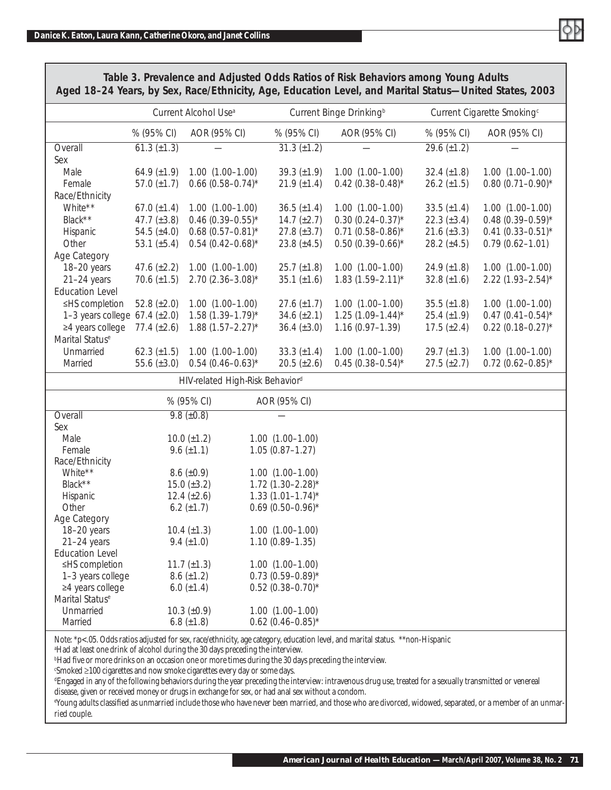

|                                      | Current Alcohol Use <sup>a</sup> |                                       | Current Binge Drinking <sup>b</sup> |                                          | Current Cigarette Smoking <sup>c</sup> |                    |                                 |  |
|--------------------------------------|----------------------------------|---------------------------------------|-------------------------------------|------------------------------------------|----------------------------------------|--------------------|---------------------------------|--|
|                                      | % (95% CI)                       | AOR (95% CI)                          |                                     | % (95% CI)                               | AOR (95% CI)                           | % (95% CI)         | AOR (95% CI)                    |  |
| Overall                              | $61.3 (\pm 1.3)$                 |                                       |                                     | $31.3 (\pm 1.2)$                         |                                        | 29.6 $(\pm 1.2)$   |                                 |  |
| Sex                                  |                                  |                                       |                                     |                                          |                                        |                    |                                 |  |
| Male                                 | 64.9 $(\pm 1.9)$                 | $1.00(1.00-1.00)$                     |                                     | 39.3 $(\pm 1.9)$                         | $1.00(1.00-1.00)$                      | 32.4 $(\pm 1.8)$   | $1.00(1.00-1.00)$               |  |
| Female                               | 57.0 $(\pm 1.7)$                 | $0.66$ (0.58-0.74)*                   |                                     | $21.9 \ (\pm 1.4)$                       | $0.42$ (0.38-0.48)*                    | $26.2 \ (\pm 1.5)$ | $0.80(0.71 - 0.90)^*$           |  |
| Race/Ethnicity                       |                                  |                                       |                                     |                                          |                                        |                    |                                 |  |
| White**                              | 67.0 $(\pm 1.4)$                 | $1.00(1.00-1.00)$                     |                                     | $36.5 (\pm 1.4)$                         | $1.00(1.00-1.00)$                      | $33.5 (\pm 1.4)$   | $1.00$ $(1.00-1.00)$            |  |
| Black**                              | 47.7 $(\pm 3.8)$                 | $0.46$ (0.39-0.55)*                   |                                     | $14.7 (\pm 2.7)$                         | $0.30(0.24 - 0.37)^{*}$                | 22.3 $(\pm 3.4)$   | $0.48(0.39 - 0.59)^*$           |  |
| Hispanic                             | 54.5 $(\pm 4.0)$                 | $0.68(0.57 - 0.81)^*$                 |                                     | 27.8 $(\pm 3.7)$                         | $0.71(0.58 - 0.86)^*$                  | $21.6 (\pm 3.3)$   | $0.41 (0.33 - 0.51)^*$          |  |
| Other                                | 53.1 $(\pm 5.4)$                 | $0.54$ (0.42-0.68)*                   |                                     | 23.8 $(\pm 4.5)$                         | $0.50(0.39 - 0.66)^{*}$                | 28.2 $(\pm 4.5)$   | $0.79(0.62 - 1.01)$             |  |
| Age Category                         |                                  |                                       |                                     |                                          |                                        |                    |                                 |  |
| 18-20 years                          | 47.6 $(\pm 2.2)$                 | $1.00(1.00-1.00)$                     |                                     | $25.7 \ (\pm 1.8)$                       | $1.00(1.00-1.00)$                      | 24.9 $(\pm 1.8)$   | $1.00(1.00-1.00)$               |  |
| $21-24$ years                        | 70.6 $(\pm 1.5)$                 | $2.70(2.36 - 3.08)^*$                 |                                     | $35.1 (\pm 1.6)$                         | $1.83(1.59 - 2.11)^{*}$                | 32.8 $(\pm 1.6)$   | $2.22$ (1.93-2.54)*             |  |
| <b>Education Level</b>               |                                  |                                       |                                     |                                          |                                        |                    |                                 |  |
| ≤HS completion                       | 52.8 $(\pm 2.0)$                 | $1.00(1.00-1.00)$                     |                                     | $27.6 \ (\pm 1.7)$                       | $1.00(1.00-1.00)$                      | $35.5 \ (\pm 1.8)$ | $1.00(1.00 - 1.00)$             |  |
| 1-3 years college $67.4 \ (\pm 2.0)$ |                                  | $1.58(1.39 - 1.79)^{*}$               |                                     | $34.6 (\pm 2.1)$                         | $1.25(1.09 - 1.44)^{*}$                | 25.4 $(\pm 1.9)$   | $0.47(0.41 - 0.54)^*$           |  |
| ≥4 years college                     | 77.4 $(\pm 2.6)$                 | $1.88(1.57 - 2.27)^{*}$               |                                     | $36.4 \ (\pm 3.0)$                       | $1.16(0.97 - 1.39)$                    | $17.5 \ (\pm 2.4)$ | $0.22$ (0.18-0.27) <sup>*</sup> |  |
| Marital Status <sup>e</sup>          |                                  |                                       |                                     |                                          |                                        |                    |                                 |  |
| Unmarried                            | 62.3 $(\pm 1.5)$                 | $1.00(1.00-1.00)$                     |                                     | 33.3 $(\pm 1.4)$                         | $1.00(1.00-1.00)$                      | 29.7 $(\pm 1.3)$   | $1.00(1.00-1.00)$               |  |
| Married                              | 55.6 $(\pm 3.0)$                 | $0.54$ (0.46-0.63)*                   |                                     | $20.5 (\pm 2.6)$                         | $0.45(0.38 - 0.54)^*$                  | $27.5 \ (\pm 2.7)$ | $0.72$ (0.62-0.85)*             |  |
|                                      |                                  | HIV-related High-Risk Behaviord       |                                     |                                          |                                        |                    |                                 |  |
|                                      |                                  |                                       |                                     |                                          |                                        |                    |                                 |  |
|                                      |                                  | % (95% CI)                            |                                     | AOR (95% CI)                             |                                        |                    |                                 |  |
| Overall                              |                                  | $9.8 (\pm 0.8)$                       |                                     |                                          |                                        |                    |                                 |  |
| Sex                                  |                                  |                                       |                                     |                                          |                                        |                    |                                 |  |
| Male<br>Female                       |                                  | $10.0 \ (\pm 1.2)$<br>9.6 $(\pm 1.1)$ |                                     | $1.00(1.00-1.00)$<br>$1.05(0.87 - 1.27)$ |                                        |                    |                                 |  |
| Race/Ethnicity                       |                                  |                                       |                                     |                                          |                                        |                    |                                 |  |
| White**                              |                                  | $8.6 \ (\pm 0.9)$                     |                                     | $1.00$ $(1.00-1.00)$                     |                                        |                    |                                 |  |
| Black**                              |                                  | 15.0 $(\pm 3.2)$                      |                                     | $1.72$ (1.30-2.28)*                      |                                        |                    |                                 |  |
| Hispanic                             |                                  | 12.4 $(\pm 2.6)$                      |                                     | $1.33(1.01 - 1.74)^{*}$                  |                                        |                    |                                 |  |
| Other                                |                                  | 6.2 $(\pm 1.7)$                       |                                     | $0.69(0.50 - 0.96)^{*}$                  |                                        |                    |                                 |  |
| Age Category                         |                                  |                                       |                                     |                                          |                                        |                    |                                 |  |
| 18-20 years                          |                                  | 10.4 $(\pm 1.3)$                      |                                     | $1.00$ $(1.00-1.00)$                     |                                        |                    |                                 |  |
| $21-24$ years                        |                                  | $9.4 \ (\pm 1.0)$                     |                                     | $1.10(0.89 - 1.35)$                      |                                        |                    |                                 |  |
| <b>Education Level</b>               |                                  |                                       |                                     |                                          |                                        |                    |                                 |  |
| ≤HS completion                       |                                  | 11.7 $(\pm 1.3)$                      |                                     | $1.00(1.00-1.00)$                        |                                        |                    |                                 |  |
| 1-3 years college                    |                                  | $8.6 \ (\pm 1.2)$                     |                                     | $0.73$ (0.59-0.89)*                      |                                        |                    |                                 |  |
| ≥4 years college                     |                                  | 6.0 $(\pm 1.4)$                       |                                     | $0.52$ (0.38-0.70)*                      |                                        |                    |                                 |  |
| Marital Status <sup>e</sup>          |                                  |                                       |                                     |                                          |                                        |                    |                                 |  |
| Unmarried                            |                                  | 10.3 $(\pm 0.9)$                      |                                     | $1.00(1.00-1.00)$                        |                                        |                    |                                 |  |
| Married                              |                                  | 6.8 $(\pm 1.8)$                       |                                     | $0.62$ (0.46-0.85)*                      |                                        |                    |                                 |  |

*Table 3. Prevalence and Adjusted Odds Ratios of Risk Behaviors among Young Adults Aged 18–24 Years, by Sex, Race/Ethnicity, Age, Education Level, and Marital Status—United States, 2003*

Note: \*p<.05. Odds ratios adjusted for sex, race/ethnicity, age category, education level, and marital status. \*\*non-Hispanic

a Had at least one drink of alcohol during the 30 days preceding the interview.

b Had fi ve or more drinks on an occasion one or more times during the 30 days preceding the interview.

c Smoked ≥100 cigarettes and now smoke cigarettes every day or some days.

d Engaged in any of the following behaviors during the year preceding the interview: intravenous drug use, treated for a sexually transmitted or venereal disease, given or received money or drugs in exchange for sex, or had anal sex without a condom.

"Young adults classified as unmarried include those who have never been married, and those who are divorced, widowed, separated, or a member of an unmarried couple.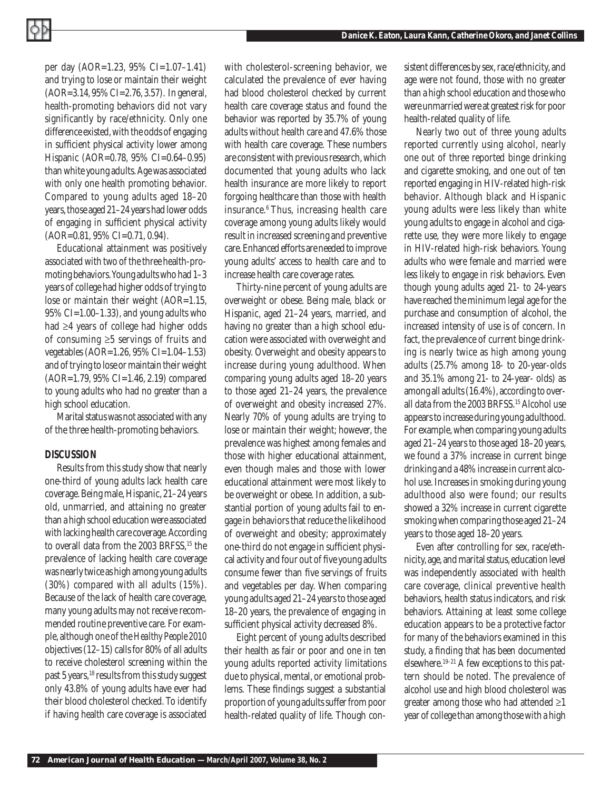per day (AOR=1.23, 95% CI=1.07–1.41) and trying to lose or maintain their weight (AOR=3.14, 95% CI=2.76, 3.57). In general, health-promoting behaviors did not vary significantly by race/ethnicity. Only one difference existed, with the odds of engaging in sufficient physical activity lower among Hispanic (AOR=0.78, 95% CI=0.64–0.95) than white young adults. Age was associated with only one health promoting behavior. Compared to young adults aged 18–20 years, those aged 21–24 years had lower odds of engaging in sufficient physical activity (AOR=0.81, 95% CI=0.71, 0.94).

Educational attainment was positively associated with two of the three health-promoting behaviors. Young adults who had 1–3 years of college had higher odds of trying to lose or maintain their weight (AOR=1.15,  $95\%$  CI=1.00–1.33), and young adults who had ≥4 years of college had higher odds of consuming ≥5 servings of fruits and vegetables (AOR=1.26, 95% CI=1.04–1.53) and of trying to lose or maintain their weight (AOR=1.79, 95% CI=1.46, 2.19) compared to young adults who had no greater than a high school education.

Marital status was not associated with any of the three health-promoting behaviors.

# *DISCUSSION*

Results from this study show that nearly one-third of young adults lack health care coverage. Being male, Hispanic, 21–24 years old, unmarried, and attaining no greater than a high school education were associated with lacking health care coverage. According to overall data from the 2003 BRFSS,<sup>15</sup> the prevalence of lacking health care coverage was nearly twice as high among young adults (30%) compared with all adults (15%). Because of the lack of health care coverage, many young adults may not receive recommended routine preventive care. For example, although one of the *Healthy People 2010* objectives (12–15) calls for 80% of all adults to receive cholesterol screening within the past 5 years,<sup>18</sup> results from this study suggest only 43.8% of young adults have ever had their blood cholesterol checked. To identify if having health care coverage is associated

with cholesterol-screening behavior, we calculated the prevalence of ever having had blood cholesterol checked by current health care coverage status and found the behavior was reported by 35.7% of young adults without health care and 47.6% those with health care coverage. These numbers are consistent with previous research, which documented that young adults who lack health insurance are more likely to report forgoing healthcare than those with health insurance.6 Thus, increasing health care coverage among young adults likely would result in increased screening and preventive care. Enhanced efforts are needed to improve young adults' access to health care and to increase health care coverage rates.

Thirty-nine percent of young adults are overweight or obese. Being male, black or Hispanic, aged 21–24 years, married, and having no greater than a high school education were associated with overweight and obesity. Overweight and obesity appears to increase during young adulthood. When comparing young adults aged 18–20 years to those aged 21–24 years, the prevalence of overweight and obesity increased 27%. Nearly 70% of young adults are trying to lose or maintain their weight; however, the prevalence was highest among females and those with higher educational attainment, even though males and those with lower educational attainment were most likely to be overweight or obese. In addition, a substantial portion of young adults fail to engage in behaviors that reduce the likelihood of overweight and obesity; approximately one-third do not engage in sufficient physical activity and four out of five young adults consume fewer than five servings of fruits and vegetables per day. When comparing young adults aged 21–24 years to those aged 18–20 years, the prevalence of engaging in sufficient physical activity decreased 8%.

Eight percent of young adults described their health as fair or poor and one in ten young adults reported activity limitations due to physical, mental, or emotional problems. These findings suggest a substantial proportion of young adults suffer from poor health-related quality of life. Though consistent differences by sex, race/ethnicity, and age were not found, those with no greater than a high school education and those who were unmarried were at greatest risk for poor health-related quality of life.

Nearly two out of three young adults reported currently using alcohol, nearly one out of three reported binge drinking and cigarette smoking, and one out of ten reported engaging in HIV-related high-risk behavior. Although black and Hispanic young adults were less likely than white young adults to engage in alcohol and cigarette use, they were more likely to engage in HIV-related high-risk behaviors. Young adults who were female and married were less likely to engage in risk behaviors. Even though young adults aged 21- to 24-years have reached the minimum legal age for the purchase and consumption of alcohol, the increased intensity of use is of concern. In fact, the prevalence of current binge drinking is nearly twice as high among young adults (25.7% among 18- to 20-year-olds and 35.1% among 21- to 24-year- olds) as among all adults (16.4%), according to overall data from the 2003 BRFSS.15 Alcohol use appears to increase during young adulthood. For example, when comparing young adults aged 21–24 years to those aged 18–20 years, we found a 37% increase in current binge drinking and a 48% increase in current alcohol use. Increases in smoking during young adulthood also were found; our results showed a 32% increase in current cigarette smoking when comparing those aged 21–24 years to those aged 18–20 years.

Even after controlling for sex, race/ethnicity, age, and marital status, education level was independently associated with health care coverage, clinical preventive health behaviors, health status indicators, and risk behaviors. Attaining at least some college education appears to be a protective factor for many of the behaviors examined in this study, a finding that has been documented elsewhere.19–21 A few exceptions to this pattern should be noted. The prevalence of alcohol use and high blood cholesterol was greater among those who had attended  $\geq 1$ year of college than among those with a high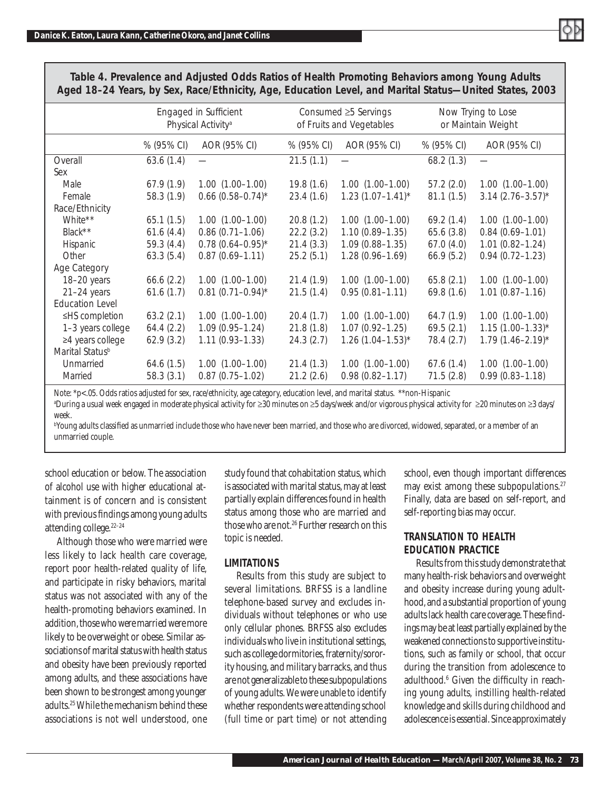|                             | Engaged in Sufficient<br>Physical Activity <sup>a</sup> |                       | Consumed ≥5 Servings<br>of Fruits and Vegetables |                         |            | Now Trying to Lose<br>or Maintain Weight |
|-----------------------------|---------------------------------------------------------|-----------------------|--------------------------------------------------|-------------------------|------------|------------------------------------------|
|                             | % (95% CI)                                              | AOR (95% CI)          | % (95% CI)                                       | AOR (95% CI)            | % (95% CI) | AOR (95% CI)                             |
| Overall                     | 63.6(1.4)                                               |                       | 21.5(1.1)                                        |                         | 68.2(1.3)  |                                          |
| Sex                         |                                                         |                       |                                                  |                         |            |                                          |
| Male                        | 67.9(1.9)                                               | $1.00(1.00-1.00)$     | 19.8(1.6)                                        | $1.00(1.00-1.00)$       | 57.2(2.0)  | $1.00$ $(1.00-1.00)$                     |
| Female                      | 58.3 (1.9)                                              | $0.66$ (0.58-0.74)*   | 23.4(1.6)                                        | $1.23(1.07 - 1.41)^{*}$ | 81.1(1.5)  | $3.14$ (2.76-3.57) <sup>*</sup>          |
| Race/Ethnicity              |                                                         |                       |                                                  |                         |            |                                          |
| White**                     | 65.1(1.5)                                               | $1.00(1.00-1.00)$     | 20.8(1.2)                                        | $1.00$ $(1.00-1.00)$    | 69.2(1.4)  | $1.00$ $(1.00-1.00)$                     |
| Black**                     | 61.6(4.4)                                               | $0.86(0.71 - 1.06)$   | 22.2(3.2)                                        | $1.10(0.89 - 1.35)$     | 65.6(3.8)  | $0.84(0.69 - 1.01)$                      |
| Hispanic                    | 59.3(4.4)                                               | $0.78(0.64 - 0.95)^*$ | 21.4(3.3)                                        | $1.09(0.88 - 1.35)$     | 67.0(4.0)  | $1.01(0.82 - 1.24)$                      |
| Other                       | 63.3(5.4)                                               | $0.87(0.69 - 1.11)$   | 25.2(5.1)                                        | $1.28(0.96 - 1.69)$     | 66.9(5.2)  | $0.94(0.72 - 1.23)$                      |
| Age Category                |                                                         |                       |                                                  |                         |            |                                          |
| 18-20 years                 | 66.6(2.2)                                               | $1.00(1.00-1.00)$     | 21.4(1.9)                                        | $1.00$ $(1.00-1.00)$    | 65.8(2.1)  | $1.00$ $(1.00-1.00)$                     |
| $21-24$ years               | 61.6(1.7)                                               | $0.81(0.71 - 0.94)^*$ | 21.5(1.4)                                        | $0.95(0.81 - 1.11)$     | 69.8(1.6)  | $1.01(0.87 - 1.16)$                      |
| <b>Education Level</b>      |                                                         |                       |                                                  |                         |            |                                          |
| ≤HS completion              | 63.2(2.1)                                               | $1.00(1.00-1.00)$     | 20.4(1.7)                                        | $1.00(1.00-1.00)$       | 64.7(1.9)  | $1.00(1.00-1.00)$                        |
| 1-3 years college           | 64.4(2.2)                                               | $1.09(0.95 - 1.24)$   | 21.8(1.8)                                        | $1.07(0.92 - 1.25)$     | 69.5(2.1)  | $1.15(1.00 - 1.33)^{*}$                  |
| $\geq 4$ years college      | 62.9(3.2)                                               | $1.11(0.93 - 1.33)$   | 24.3(2.7)                                        | $1.26$ (1.04-1.53)*     | 78.4 (2.7) | $1.79(1.46 - 2.19)^{*}$                  |
| Marital Status <sup>b</sup> |                                                         |                       |                                                  |                         |            |                                          |
| Unmarried                   | 64.6(1.5)                                               | $1.00(1.00-1.00)$     | 21.4(1.3)                                        | $1.00(1.00-1.00)$       | 67.6(1.4)  | $1.00$ $(1.00-1.00)$                     |
| Married                     | 58.3(3.1)                                               | $0.87(0.75 - 1.02)$   | 21.2(2.6)                                        | $0.98(0.82 - 1.17)$     | 71.5(2.8)  | $0.99(0.83 - 1.18)$                      |
|                             |                                                         |                       |                                                  |                         |            |                                          |

*Table 4. Prevalence and Adjusted Odds Ratios of Health Promoting Behaviors among Young Adults Aged 18–24 Years, by Sex, Race/Ethnicity, Age, Education Level, and Marital Status—United States, 2003*

Note: \*p<.05. Odds ratios adjusted for sex, race/ethnicity, age category, education level, and marital status. \*\*non-Hispanic

a During a usual week engaged in moderate physical activity for ≥30 minutes on ≥5 days/week and/or vigorous physical activity for ≥20 minutes on ≥3 days/ week.

"Young adults classified as unmarried include those who have never been married, and those who are divorced, widowed, separated, or a member of an unmarried couple.

school education or below. The association of alcohol use with higher educational attainment is of concern and is consistent with previous findings among young adults attending college.<sup>22-24</sup>

Although those who were married were less likely to lack health care coverage, report poor health-related quality of life, and participate in risky behaviors, marital status was not associated with any of the health-promoting behaviors examined. In addition, those who were married were more likely to be overweight or obese. Similar associations of marital status with health status and obesity have been previously reported among adults, and these associations have been shown to be strongest among younger adults.25 While the mechanism behind these associations is not well understood, one

study found that cohabitation status, which is associated with marital status, may at least partially explain differences found in health status among those who are married and those who are not.26 Further research on this topic is needed.

# *LIMITATIONS*

Results from this study are subject to several limitations. BRFSS is a landline telephone-based survey and excludes individuals without telephones or who use only cellular phones. BRFSS also excludes individuals who live in institutional settings, such as college dormitories, fraternity/sorority housing, and military barracks, and thus are not generalizable to these subpopulations of young adults. We were unable to identify whether respondents were attending school (full time or part time) or not attending

school, even though important differences may exist among these subpopulations.<sup>27</sup> Finally, data are based on self-report, and self-reporting bias may occur.

# *TRANSLATION TO HEALTH EDUCATION PRACTICE*

Results from this study demonstrate that many health-risk behaviors and overweight and obesity increase during young adulthood, and a substantial proportion of young adults lack health care coverage. These findings may be at least partially explained by the weakened connections to supportive institutions, such as family or school, that occur during the transition from adolescence to adulthood.<sup>6</sup> Given the difficulty in reaching young adults, instilling health-related knowledge and skills during childhood and adolescence is essential. Since approximately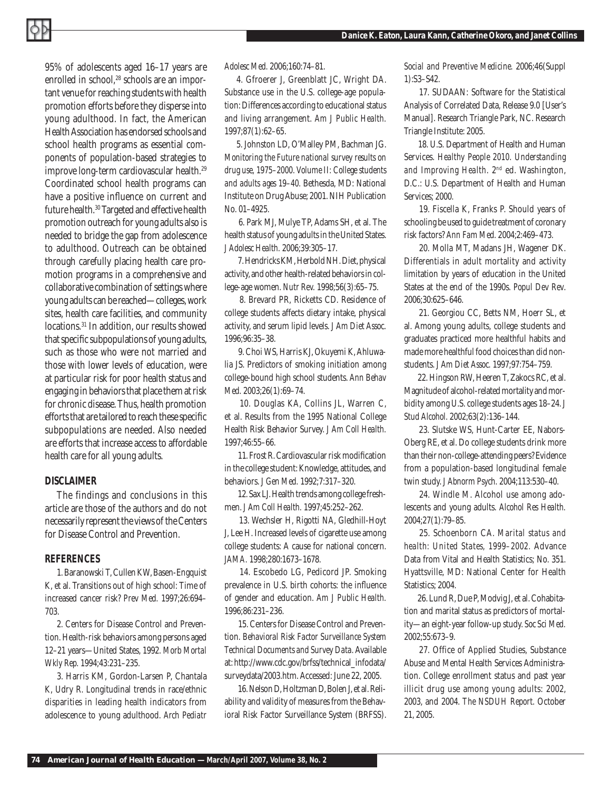95% of adolescents aged 16–17 years are enrolled in school,<sup>28</sup> schools are an important venue for reaching students with health promotion efforts before they disperse into young adulthood. In fact, the American Health Association has endorsed schools and school health programs as essential components of population-based strategies to improve long-term cardiovascular health.29 Coordinated school health programs can have a positive influence on current and future health.<sup>30</sup> Targeted and effective health promotion outreach for young adults also is needed to bridge the gap from adolescence to adulthood. Outreach can be obtained through carefully placing health care promotion programs in a comprehensive and collaborative combination of settings where young adults can be reached—colleges, work sites, health care facilities, and community locations.31 In addition, our results showed that specific subpopulations of young adults, such as those who were not married and those with lower levels of education, were at particular risk for poor health status and engaging in behaviors that place them at risk for chronic disease. Thus, health promotion efforts that are tailored to reach these specific subpopulations are needed. Also needed are efforts that increase access to affordable health care for all young adults.

#### *DISCLAIMER*

The findings and conclusions in this article are those of the authors and do not necessarily represent the views of the Centers for Disease Control and Prevention.

# *REFERENCES*

1. Baranowski T, Cullen KW, Basen-Engquist K, et al. Transitions out of high school: Time of increased cancer risk? *Prev Med.* 1997;26:694– 703.

2. Centers for Disease Control and Prevention. Health-risk behaviors among persons aged 12–21 years—United States, 1992. *Morb Mortal Wkly Rep.* 1994;43:231–235.

3. Harris KM, Gordon-Larsen P, Chantala K, Udry R. Longitudinal trends in race/ethnic disparities in leading health indicators from adolescence to young adulthood. *Arch Pediatr*  *Adolesc Med.* 2006;160:74–81.

4. Gfroerer J, Greenblatt JC, Wright DA. Substance use in the U.S. college-age population: Differences according to educational status and living arrangement. *Am J Public Health.* 1997;87(1):62–65.

5. Johnston LD, O'Malley PM, Bachman JG. *Monitoring the Future national survey results on drug use, 1975–2000. Volume II: College students and adults ages 19–40.* Bethesda, MD: National Institute on Drug Abuse; 2001. NIH Publication No. 01–4925.

 6. Park MJ, Mulye TP, Adams SH, et al. The health status of young adults in the United States. *J Adolesc Health.* 2006;39:305–17.

 7. Hendricks KM, Herbold NH. Diet, physical activity, and other health-related behaviors in college-age women. *Nutr Rev.* 1998;56(3):65–75.

 8. Brevard PR, Ricketts CD. Residence of college students affects dietary intake, physical activity, and serum lipid levels. *J Am Diet Assoc.* 1996;96:35–38.

 9. Choi WS, Harris KJ, Okuyemi K, Ahluwalia JS. Predictors of smoking initiation among college-bound high school students. *Ann Behav Med.* 2003;26(1):69–74.

 10. Douglas KA, Collins JL, Warren C, et al. Results from the 1995 National College Health Risk Behavior Survey. *J Am Coll Health.* 1997;46:55–66.

11. Frost R. Cardiovascular risk modification in the college student: Knowledge, attitudes, and behaviors. *J Gen Med.* 1992;7:317–320.

 12. Sax LJ. Health trends among college freshmen. *J Am Coll Health.* 1997;45:252–262.

 13. Wechsler H, Rigotti NA, Gledhill-Hoyt J, Lee H. Increased levels of cigarette use among college students: A cause for national concern. *JAMA.* 1998;280:1673–1678.

 14. Escobedo LG, Pedicord JP. Smoking prevalence in U.S. birth cohorts: the influence of gender and education. *Am J Public Health.* 1996;86:231–236.

 15. Centers for Disease Control and Prevention. *Behavioral Risk Factor Surveillance System Technical Documents and Survey Data.* Available at: http://www.cdc.gov/brfss/technical\_infodata/ surveydata/2003.htm. Accessed: June 22, 2005.

 16. Nelson D, Holtzman D, Bolen J, et al. Reliability and validity of measures from the Behavioral Risk Factor Surveillance System (BRFSS). *Social and Preventive Medicine.* 2006;46(Suppl 1):S3–S42.

 17. SUDAAN: Software for the Statistical Analysis of Correlated Data, Release 9.0 [User's Manual]. Research Triangle Park, NC. Research Triangle Institute: 2005.

 18. U.S. Department of Health and Human Services. *Healthy People 2010. Understanding and Improving Health*. 2nd ed. Washington, D.C.: U.S. Department of Health and Human Services; 2000.

 19. Fiscella K, Franks P. Should years of schooling be used to guide treatment of coronary risk factors? *Ann Fam Med.* 2004;2:469–473.

 20. Molla MT, Madans JH, Wagener DK. Differentials in adult mortality and activity limitation by years of education in the United States at the end of the 1990s. *Popul Dev Rev*. 2006;30:625–646.

 21. Georgiou CC, Betts NM, Hoerr SL, et al. Among young adults, college students and graduates practiced more healthful habits and made more healthful food choices than did nonstudents. *J Am Diet Assoc.* 1997;97:754–759.

 22. Hingson RW, Heeren T, Zakocs RC, et al. Magnitude of alcohol-related mortality and morbidity among U.S. college students ages 18–24. *J Stud Alcohol.* 2002;63(2):136–144.

 23. Slutske WS, Hunt-Carter EE, Nabors-Oberg RE, et al. Do college students drink more than their non-college-attending peers? Evidence from a population-based longitudinal female twin study. *J Abnorm Psych.* 2004;113:530–40.

 24. Windle M. Alcohol use among adolescents and young adults. *Alcohol Res Health.* 2004;27(1):79–85.

 25. Schoenborn CA. *Marital status and health: United States, 1999–2002.* Advance Data from Vital and Health Statistics; No. 351. Hyattsville, MD: National Center for Health Statistics; 2004.

 26. Lund R, Due P, Modvig J, et al. Cohabitation and marital status as predictors of mortality—an eight-year follow-up study. *Soc Sci Med.* 2002;55:673–9.

 27. Office of Applied Studies, Substance Abuse and Mental Health Services Administration. College enrollment status and past year illicit drug use among young adults: 2002, 2003, and 2004. *The NSDUH Report*. October 21, 2005.